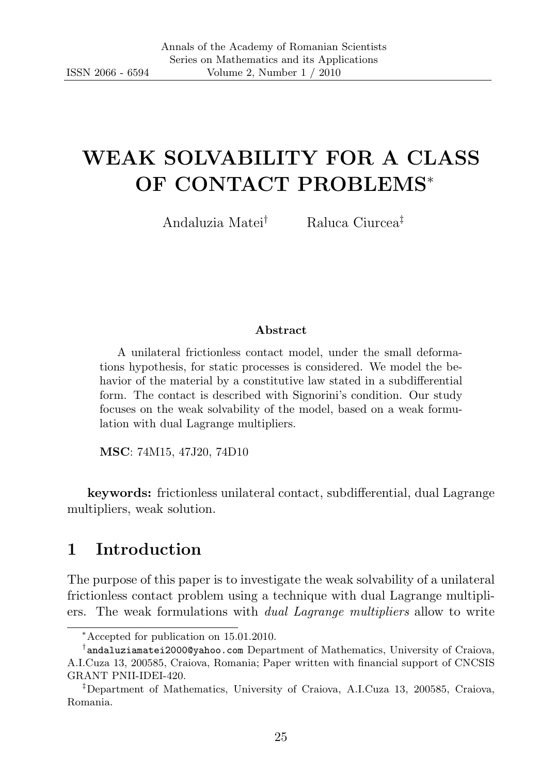# WEAK SOLVABILITY FOR A CLASS OF CONTACT PROBLEMS<sup>∗</sup>

Andaluzia Matei† Raluca Ciurcea‡

#### Abstract

A unilateral frictionless contact model, under the small deformations hypothesis, for static processes is considered. We model the behavior of the material by a constitutive law stated in a subdifferential form. The contact is described with Signorini's condition. Our study focuses on the weak solvability of the model, based on a weak formulation with dual Lagrange multipliers.

MSC: 74M15, 47J20, 74D10

keywords: frictionless unilateral contact, subdifferential, dual Lagrange multipliers, weak solution.

# 1 Introduction

The purpose of this paper is to investigate the weak solvability of a unilateral frictionless contact problem using a technique with dual Lagrange multipliers. The weak formulations with dual Lagrange multipliers allow to write

<sup>∗</sup>Accepted for publication on 15.01.2010.

<sup>†</sup> andaluziamatei2000@yahoo.com Department of Mathematics, University of Craiova, A.I.Cuza 13, 200585, Craiova, Romania; Paper written with financial support of CNCSIS GRANT PNII-IDEI-420.

<sup>‡</sup>Department of Mathematics, University of Craiova, A.I.Cuza 13, 200585, Craiova, Romania.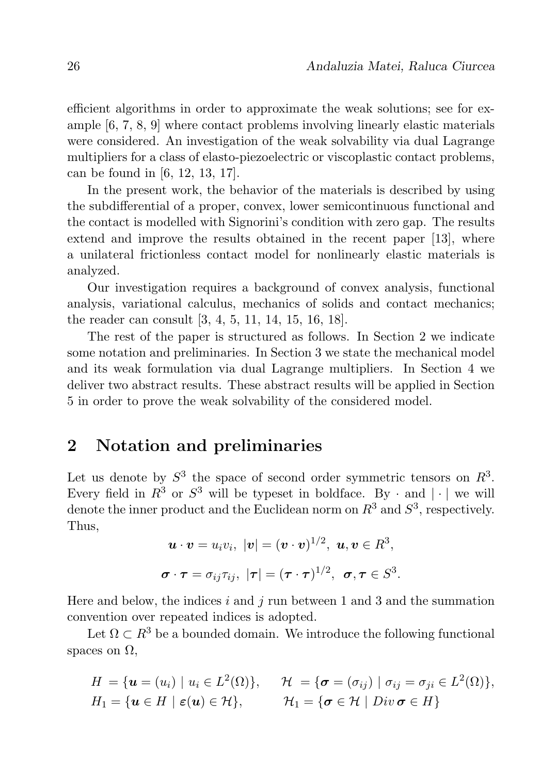efficient algorithms in order to approximate the weak solutions; see for example [6, 7, 8, 9] where contact problems involving linearly elastic materials were considered. An investigation of the weak solvability via dual Lagrange multipliers for a class of elasto-piezoelectric or viscoplastic contact problems, can be found in [6, 12, 13, 17].

In the present work, the behavior of the materials is described by using the subdifferential of a proper, convex, lower semicontinuous functional and the contact is modelled with Signorini's condition with zero gap. The results extend and improve the results obtained in the recent paper [13], where a unilateral frictionless contact model for nonlinearly elastic materials is analyzed.

Our investigation requires a background of convex analysis, functional analysis, variational calculus, mechanics of solids and contact mechanics; the reader can consult [3, 4, 5, 11, 14, 15, 16, 18].

The rest of the paper is structured as follows. In Section 2 we indicate some notation and preliminaries. In Section 3 we state the mechanical model and its weak formulation via dual Lagrange multipliers. In Section 4 we deliver two abstract results. These abstract results will be applied in Section 5 in order to prove the weak solvability of the considered model.

# 2 Notation and preliminaries

Let us denote by  $S^3$  the space of second order symmetric tensors on  $R^3$ . Every field in  $R^3$  or  $S^3$  will be typeset in boldface. By  $\cdot$  and  $|\cdot|$  we will denote the inner product and the Euclidean norm on  $R^3$  and  $S^3$ , respectively. Thus,

$$
\mathbf{u} \cdot \mathbf{v} = u_i v_i, \ |\mathbf{v}| = (\mathbf{v} \cdot \mathbf{v})^{1/2}, \ \mathbf{u}, \mathbf{v} \in R^3,
$$
  

$$
\boldsymbol{\sigma} \cdot \boldsymbol{\tau} = \sigma_{ij} \tau_{ij}, \ |\boldsymbol{\tau}| = (\boldsymbol{\tau} \cdot \boldsymbol{\tau})^{1/2}, \ \boldsymbol{\sigma}, \boldsymbol{\tau} \in S^3.
$$

Here and below, the indices i and j run between 1 and 3 and the summation convention over repeated indices is adopted.

Let  $\Omega \subset \mathbb{R}^3$  be a bounded domain. We introduce the following functional spaces on  $\Omega$ .

$$
H = \{ \mathbf{u} = (u_i) \mid u_i \in L^2(\Omega) \}, \quad \mathcal{H} = \{ \mathbf{\sigma} = (\sigma_{ij}) \mid \sigma_{ij} = \sigma_{ji} \in L^2(\Omega) \},
$$
  
\n
$$
H_1 = \{ \mathbf{u} \in H \mid \mathbf{\varepsilon}(\mathbf{u}) \in \mathcal{H} \}, \quad \mathcal{H}_1 = \{ \mathbf{\sigma} \in \mathcal{H} \mid Div \, \mathbf{\sigma} \in H \}
$$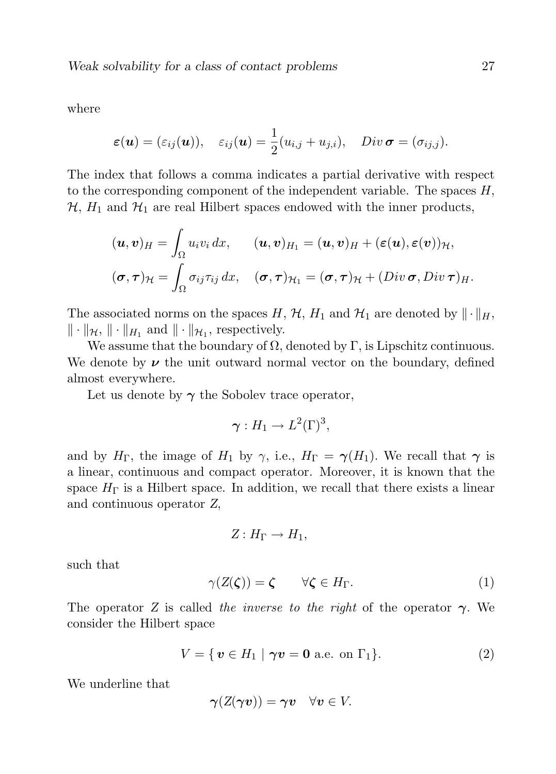where

$$
\varepsilon(\boldsymbol{u}) = (\varepsilon_{ij}(\boldsymbol{u})), \quad \varepsilon_{ij}(\boldsymbol{u}) = \frac{1}{2}(u_{i,j} + u_{j,i}), \quad Div \boldsymbol{\sigma} = (\sigma_{ij,j}).
$$

The index that follows a comma indicates a partial derivative with respect to the corresponding component of the independent variable. The spaces  $H$ ,  $\mathcal{H}, H_1$  and  $\mathcal{H}_1$  are real Hilbert spaces endowed with the inner products,

$$
(\boldsymbol{u},\boldsymbol{v})_H = \int_{\Omega} u_i v_i \, dx, \qquad (\boldsymbol{u},\boldsymbol{v})_{H_1} = (\boldsymbol{u},\boldsymbol{v})_H + (\varepsilon(\boldsymbol{u}),\varepsilon(\boldsymbol{v}))_{\mathcal{H}},
$$

$$
(\boldsymbol{\sigma},\boldsymbol{\tau})_{\mathcal{H}} = \int_{\Omega} \sigma_{ij} \tau_{ij} \, dx, \quad (\boldsymbol{\sigma},\boldsymbol{\tau})_{\mathcal{H}_1} = (\boldsymbol{\sigma},\boldsymbol{\tau})_{\mathcal{H}} + (Div \boldsymbol{\sigma}, Div \boldsymbol{\tau})_H.
$$

The associated norms on the spaces H,  $H$ ,  $H_1$  and  $H_1$  are denoted by  $\|\cdot\|_H$ ,  $\|\cdot\|_{\mathcal{H}},\|\cdot\|_{H_1}$  and  $\|\cdot\|_{\mathcal{H}_1}$ , respectively.

We assume that the boundary of  $\Omega$ , denoted by  $\Gamma$ , is Lipschitz continuous. We denote by  $\nu$  the unit outward normal vector on the boundary, defined almost everywhere.

Let us denote by  $\gamma$  the Sobolev trace operator,

$$
\boldsymbol{\gamma}:H_1\to L^2(\Gamma)^3,
$$

and by  $H_{\Gamma}$ , the image of  $H_1$  by  $\gamma$ , i.e.,  $H_{\Gamma} = \gamma(H_1)$ . We recall that  $\gamma$  is a linear, continuous and compact operator. Moreover, it is known that the space  $H_{\Gamma}$  is a Hilbert space. In addition, we recall that there exists a linear and continuous operator Z,

$$
Z: H_{\Gamma} \to H_1,
$$

such that

$$
\gamma(Z(\zeta)) = \zeta \qquad \forall \zeta \in H_{\Gamma}.\tag{1}
$$

The operator Z is called the inverse to the right of the operator  $\gamma$ . We consider the Hilbert space

$$
V = \{ \mathbf{v} \in H_1 \mid \boldsymbol{\gamma} \mathbf{v} = \mathbf{0} \text{ a.e. on } \Gamma_1 \}. \tag{2}
$$

We underline that

$$
\gamma(Z(\gamma v)) = \gamma v \quad \forall v \in V.
$$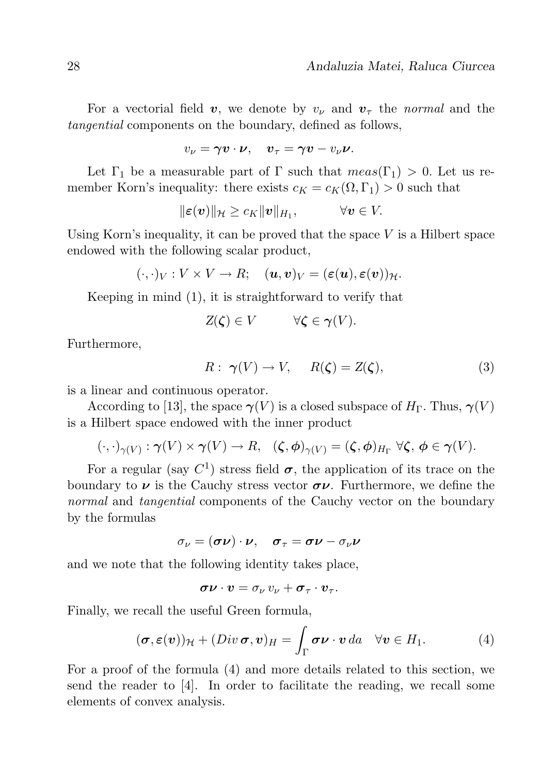For a vectorial field v, we denote by  $v_{\nu}$  and  $v_{\tau}$  the normal and the tangential components on the boundary, defined as follows,

$$
v_{\nu} = \gamma \boldsymbol{v} \cdot \boldsymbol{\nu}, \quad \boldsymbol{v}_{\tau} = \gamma \boldsymbol{v} - v_{\nu} \boldsymbol{\nu}.
$$

Let  $\Gamma_1$  be a measurable part of  $\Gamma$  such that  $meas(\Gamma_1) > 0$ . Let us remember Korn's inequality: there exists  $c_K = c_K(\Omega, \Gamma_1) > 0$  such that

$$
\|\boldsymbol{\varepsilon}(\boldsymbol{v})\|_{\mathcal{H}} \geq c_K \|\boldsymbol{v}\|_{H_1}, \qquad \forall \boldsymbol{v} \in V.
$$

Using Korn's inequality, it can be proved that the space  $V$  is a Hilbert space endowed with the following scalar product,

$$
(\cdot,\cdot)_V: V \times V \to R; \quad (\boldsymbol{u},\boldsymbol{v})_V = (\boldsymbol{\varepsilon}(\boldsymbol{u}), \boldsymbol{\varepsilon}(\boldsymbol{v}))_{\mathcal{H}}.
$$

Keeping in mind (1), it is straightforward to verify that

$$
Z(\zeta) \in V \qquad \forall \zeta \in \gamma(V).
$$

Furthermore,

$$
R: \ \gamma(V) \to V, \quad R(\zeta) = Z(\zeta), \tag{3}
$$

is a linear and continuous operator.

According to [13], the space  $\gamma(V)$  is a closed subspace of  $H_{\Gamma}$ . Thus,  $\gamma(V)$ is a Hilbert space endowed with the inner product

$$
(\cdot,\cdot)_{\gamma(V)}:\gamma(V)\times\gamma(V)\to R, \quad (\zeta,\phi)_{\gamma(V)}=(\zeta,\phi)_{H_{\Gamma}}\,\,\forall\zeta,\,\phi\in\gamma(V).
$$

For a regular (say  $C^1$ ) stress field  $\sigma$ , the application of its trace on the boundary to  $\nu$  is the Cauchy stress vector  $\sigma \nu$ . Furthermore, we define the normal and tangential components of the Cauchy vector on the boundary by the formulas

$$
\sigma_{\nu} = (\boldsymbol{\sigma} \boldsymbol{\nu}) \cdot \boldsymbol{\nu}, \quad \boldsymbol{\sigma}_{\tau} = \boldsymbol{\sigma} \boldsymbol{\nu} - \sigma_{\nu} \boldsymbol{\nu}
$$

and we note that the following identity takes place,

$$
\boldsymbol{\sigma}\boldsymbol{\nu}\cdot\boldsymbol{v}=\sigma_{\nu}\,\boldsymbol{v}_{\nu}+\boldsymbol{\sigma}_{\tau}\cdot\boldsymbol{v}_{\tau}.
$$

Finally, we recall the useful Green formula,

$$
(\boldsymbol{\sigma}, \boldsymbol{\varepsilon}(\boldsymbol{v}))_{\mathcal{H}} + (Div \boldsymbol{\sigma}, \boldsymbol{v})_{H} = \int_{\Gamma} \boldsymbol{\sigma} \boldsymbol{\nu} \cdot \boldsymbol{v} da \quad \forall \boldsymbol{v} \in H_{1}.
$$
 (4)

For a proof of the formula (4) and more details related to this section, we send the reader to [4]. In order to facilitate the reading, we recall some elements of convex analysis.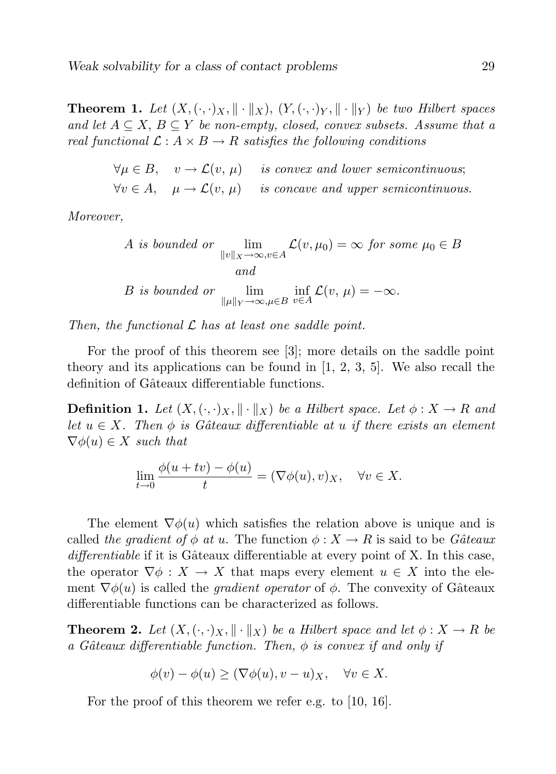**Theorem 1.** Let  $(X, \langle \cdot, \cdot \rangle_X, \|\cdot\|_X)$ ,  $(Y, \langle \cdot, \cdot \rangle_Y, \|\cdot\|_Y)$  be two Hilbert spaces and let  $A \subseteq X$ ,  $B \subseteq Y$  be non-empty, closed, convex subsets. Assume that a real functional  $\mathcal{L}: A \times B \to R$  satisfies the following conditions

> $\forall u \in B$ ,  $v \to \mathcal{L}(v, \mu)$  is convex and lower semicontinuous;  $\forall v \in A$ ,  $\mu \rightarrow \mathcal{L}(v, \mu)$  is concave and upper semicontinuous.

Moreover,

A is bounded or 
$$
\lim_{\|v\|_X \to \infty, v \in A} \mathcal{L}(v, \mu_0) = \infty \text{ for some } \mu_0 \in B
$$
  
and  
B is bounded or 
$$
\lim_{\| \mu \|_Y \to \infty, \mu \in B} \inf_{v \in A} \mathcal{L}(v, \mu) = -\infty.
$$

Then, the functional  $\mathcal L$  has at least one saddle point.

For the proof of this theorem see [3]; more details on the saddle point theory and its applications can be found in  $[1, 2, 3, 5]$ . We also recall the definition of Gâteaux differentiable functions.

**Definition 1.** Let  $(X, \langle \cdot, \cdot \rangle_X, \|\cdot\|_X)$  be a Hilbert space. Let  $\phi: X \to R$  and let  $u \in X$ . Then  $\phi$  is Gâteaux differentiable at u if there exists an element  $\nabla \phi(u) \in X$  such that

$$
\lim_{t \to 0} \frac{\phi(u + tv) - \phi(u)}{t} = (\nabla \phi(u), v)_X, \quad \forall v \in X.
$$

The element  $\nabla \phi(u)$  which satisfies the relation above is unique and is called the gradient of  $\phi$  at u. The function  $\phi: X \to R$  is said to be Gâteaux  $differential$  if it is Gâteaux differentiable at every point of X. In this case, the operator  $\nabla \phi : X \to X$  that maps every element  $u \in X$  into the element  $\nabla \phi(u)$  is called the *gradient operator* of  $\phi$ . The convexity of Gâteaux differentiable functions can be characterized as follows.

**Theorem 2.** Let  $(X, \langle \cdot, \cdot \rangle_X, \|\cdot\|_X)$  be a Hilbert space and let  $\phi: X \to R$  be a Gâteaux differentiable function. Then,  $\phi$  is convex if and only if

$$
\phi(v) - \phi(u) \ge (\nabla \phi(u), v - u)_X, \quad \forall v \in X.
$$

For the proof of this theorem we refer e.g. to [10, 16].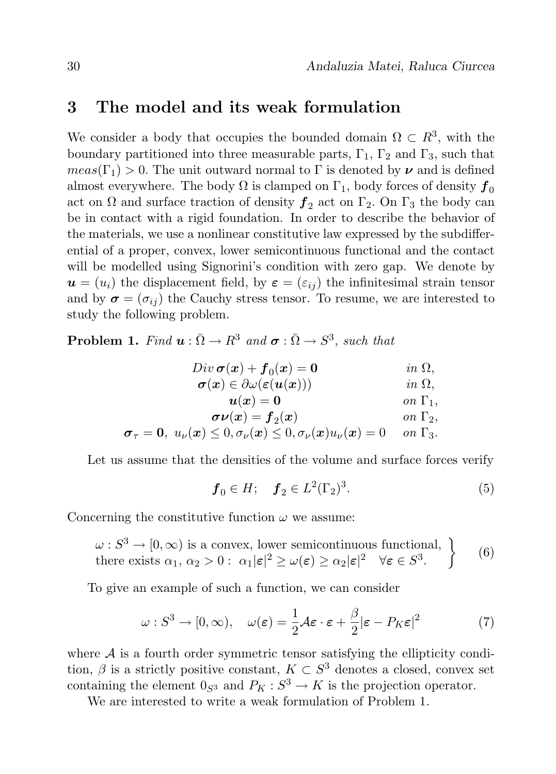### 3 The model and its weak formulation

We consider a body that occupies the bounded domain  $\Omega \subset R^3$ , with the boundary partitioned into three measurable parts,  $\Gamma_1$ ,  $\Gamma_2$  and  $\Gamma_3$ , such that  $meas(\Gamma_1) > 0$ . The unit outward normal to  $\Gamma$  is denoted by  $\nu$  and is defined almost everywhere. The body  $\Omega$  is clamped on  $\Gamma_1$ , body forces of density  $f_0$ act on  $\Omega$  and surface traction of density  $f_2$  act on  $\Gamma_2$ . On  $\Gamma_3$  the body can be in contact with a rigid foundation. In order to describe the behavior of the materials, we use a nonlinear constitutive law expressed by the subdifferential of a proper, convex, lower semicontinuous functional and the contact will be modelled using Signorini's condition with zero gap. We denote by  $u = (u_i)$  the displacement field, by  $\varepsilon = (\varepsilon_{ii})$  the infinitesimal strain tensor and by  $\sigma = (\sigma_{ii})$  the Cauchy stress tensor. To resume, we are interested to study the following problem.

**Problem 1.** Find  $\boldsymbol{u} : \overline{\Omega} \to R^3$  and  $\boldsymbol{\sigma} : \overline{\Omega} \to S^3$ , such that

| $Div \boldsymbol{\sigma}(\boldsymbol{x}) + \boldsymbol{f}_0(\boldsymbol{x}) = \boldsymbol{0}$                                                                    | $in \Omega$ ,         |
|------------------------------------------------------------------------------------------------------------------------------------------------------------------|-----------------------|
| $\boldsymbol{\sigma}(\boldsymbol{x}) \in \partial \omega(\boldsymbol{\varepsilon}(\boldsymbol{u}(\boldsymbol{x})))$                                              | $in \Omega$ ,         |
| $u(x)=0$                                                                                                                                                         | on $\Gamma_1$ ,       |
| $\sigma \nu(x) = f_2(x)$                                                                                                                                         | on $\Gamma_2$ ,       |
| $\boldsymbol{\sigma}_{\tau}=\mathbf{0},\;u_{\nu}(\boldsymbol{x})\leq0, \sigma_{\nu}(\boldsymbol{x})\leq0, \sigma_{\nu}(\boldsymbol{x})u_{\nu}(\boldsymbol{x})=0$ | $\sigma n \Gamma_3$ . |

Let us assume that the densities of the volume and surface forces verify

$$
f_0 \in H; \quad f_2 \in L^2(\Gamma_2)^3.
$$
 (5)

Concerning the constitutive function  $\omega$  we assume:

$$
\omega : S^3 \to [0, \infty) \text{ is a convex, lower semicontinuous functional,}
$$
  
there exists  $\alpha_1, \alpha_2 > 0 : \alpha_1 |\varepsilon|^2 \ge \omega(\varepsilon) \ge \alpha_2 |\varepsilon|^2 \quad \forall \varepsilon \in S^3.$  (6)

To give an example of such a function, we can consider

$$
\omega : S^3 \to [0, \infty), \quad \omega(\varepsilon) = \frac{1}{2} \mathcal{A} \varepsilon \cdot \varepsilon + \frac{\beta}{2} |\varepsilon - P_K \varepsilon|^2 \tag{7}
$$

where  $A$  is a fourth order symmetric tensor satisfying the ellipticity condition,  $\beta$  is a strictly positive constant,  $K \subset S^3$  denotes a closed, convex set containing the element  $0_{S^3}$  and  $P_K : S^3 \to K$  is the projection operator.

We are interested to write a weak formulation of Problem 1.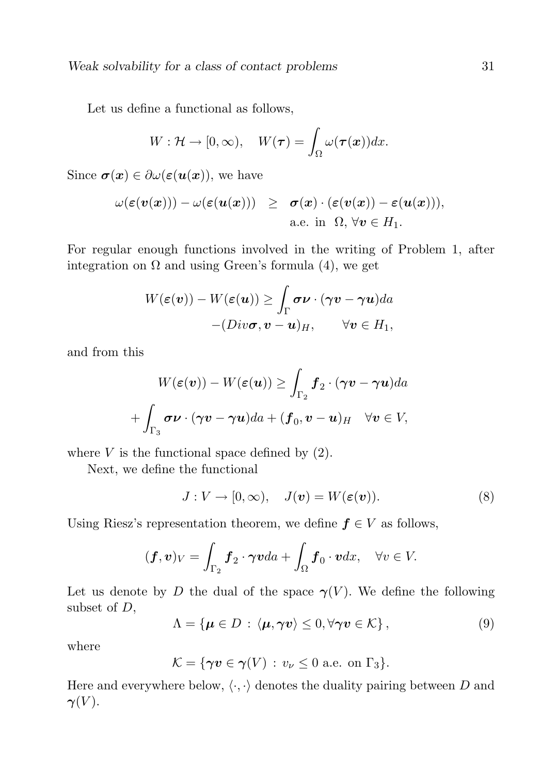Let us define a functional as follows,

$$
W: \mathcal{H} \to [0, \infty), \quad W(\boldsymbol{\tau}) = \int_{\Omega} \omega(\boldsymbol{\tau}(\boldsymbol{x})) dx.
$$

Since  $\sigma(x) \in \partial \omega(\varepsilon(u(x)))$ , we have

$$
\begin{array}{lcl} \omega(\varepsilon(\boldsymbol{v}(\boldsymbol{x}))) - \omega(\varepsilon(\boldsymbol{u}(\boldsymbol{x}))) & \geq & \boldsymbol{\sigma}(\boldsymbol{x}) \cdot (\varepsilon(\boldsymbol{v}(\boldsymbol{x})) - \varepsilon(\boldsymbol{u}(\boldsymbol{x}))), \\ \\ \text{a.e. in} & \Omega, \, \forall \boldsymbol{v} \in H_1. \end{array}
$$

For regular enough functions involved in the writing of Problem 1, after integration on  $\Omega$  and using Green's formula (4), we get

$$
W(\varepsilon(\boldsymbol{v})) - W(\varepsilon(\boldsymbol{u})) \ge \int_{\Gamma} \boldsymbol{\sigma} \boldsymbol{\nu} \cdot (\boldsymbol{\gamma} \boldsymbol{v} - \boldsymbol{\gamma} \boldsymbol{u}) da - (Div \boldsymbol{\sigma}, \boldsymbol{v} - \boldsymbol{u})_H, \qquad \forall \boldsymbol{v} \in H_1,
$$

and from this

$$
W(\varepsilon(\boldsymbol{v})) - W(\varepsilon(\boldsymbol{u})) \ge \int_{\Gamma_2} \boldsymbol{f}_2 \cdot (\boldsymbol{\gamma} \boldsymbol{v} - \boldsymbol{\gamma} \boldsymbol{u}) da
$$

$$
+ \int_{\Gamma_3} \boldsymbol{\sigma} \boldsymbol{\nu} \cdot (\boldsymbol{\gamma} \boldsymbol{v} - \boldsymbol{\gamma} \boldsymbol{u}) da + (\boldsymbol{f}_0, \boldsymbol{v} - \boldsymbol{u})_H \quad \forall \boldsymbol{v} \in V,
$$

where  $V$  is the functional space defined by  $(2)$ .

Next, we define the functional

$$
J: V \to [0, \infty), \quad J(\mathbf{v}) = W(\varepsilon(\mathbf{v})). \tag{8}
$$

Using Riesz's representation theorem, we define  $f \in V$  as follows,

$$
(\boldsymbol{f},\boldsymbol{v})_V=\int_{\Gamma_2}\boldsymbol{f}_2\cdot\boldsymbol{\gamma}\boldsymbol{v}da+\int_{\Omega}\boldsymbol{f}_0\cdot\boldsymbol{v}dx,\quad\forall v\in V.
$$

Let us denote by D the dual of the space  $\gamma(V)$ . We define the following subset of D,

$$
\Lambda = \{ \boldsymbol{\mu} \in D : \langle \boldsymbol{\mu}, \boldsymbol{\gamma} \boldsymbol{v} \rangle \leq 0, \forall \boldsymbol{\gamma} \boldsymbol{v} \in \mathcal{K} \},\tag{9}
$$

where

$$
\mathcal{K} = \{ \gamma v \in \gamma(V) : v_{\nu} \leq 0 \text{ a.e. on } \Gamma_3 \}.
$$

Here and everywhere below,  $\langle \cdot, \cdot \rangle$  denotes the duality pairing between D and  $\gamma(V)$ .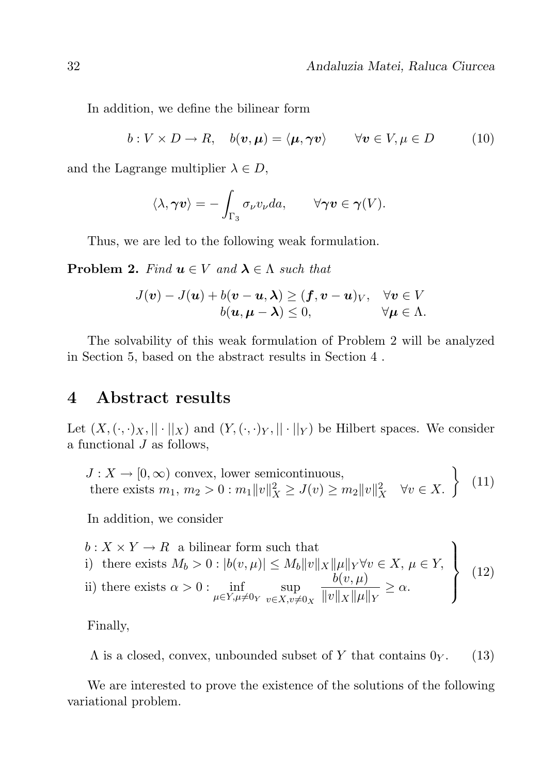$$
b: V \times D \to R, \quad b(v, \mu) = \langle \mu, \gamma v \rangle \qquad \forall v \in V, \mu \in D \tag{10}
$$

and the Lagrange multiplier  $\lambda \in D$ ,

$$
\langle \lambda, \boldsymbol{\gamma} \boldsymbol{v} \rangle = - \int_{\Gamma_3} \sigma_{\nu} v_{\nu} da, \qquad \forall \boldsymbol{\gamma} \boldsymbol{v} \in \boldsymbol{\gamma}(V).
$$

Thus, we are led to the following weak formulation.

**Problem 2.** Find  $u \in V$  and  $\lambda \in \Lambda$  such that

$$
J(\boldsymbol{v}) - J(\boldsymbol{u}) + b(\boldsymbol{v} - \boldsymbol{u}, \boldsymbol{\lambda}) \ge (\boldsymbol{f}, \boldsymbol{v} - \boldsymbol{u})_V, \quad \forall \boldsymbol{v} \in V
$$
  

$$
b(\boldsymbol{u}, \boldsymbol{\mu} - \boldsymbol{\lambda}) \le 0, \qquad \forall \boldsymbol{\mu} \in \Lambda.
$$

The solvability of this weak formulation of Problem 2 will be analyzed in Section 5, based on the abstract results in Section 4 .

### 4 Abstract results

Let  $(X, (\cdot, \cdot)_X, ||\cdot||_X)$  and  $(Y, (\cdot, \cdot)_Y, ||\cdot||_Y)$  be Hilbert spaces. We consider a functional  $J$  as follows,

$$
J: X \to [0, \infty) \text{ convex, lower semicontinuous,}
$$
  
there exists  $m_1, m_2 > 0 : m_1 ||v||_X^2 \ge J(v) \ge m_2 ||v||_X^2 \quad \forall v \in X.$  (11)

In addition, we consider

\n
$$
b: X \times Y \to R
$$
\n a bilinear form such that\n i) there exists\n  $M_b > 0: |b(v, \mu)| \leq M_b \|v\|_X \|\mu\|_Y \forall v \in X, \mu \in Y,$ \n ii) there exists\n  $\alpha > 0: \inf_{\mu \in Y, \mu \neq 0_Y} \sup_{v \in X, v \neq 0_X} \frac{b(v, \mu)}{\|v\|_X \|\mu\|_Y} \geq \alpha.$ \n

\n\n (12)\n

Finally,

 $\Lambda$  is a closed, convex, unbounded subset of Y that contains  $0_Y$ . (13)

We are interested to prove the existence of the solutions of the following variational problem.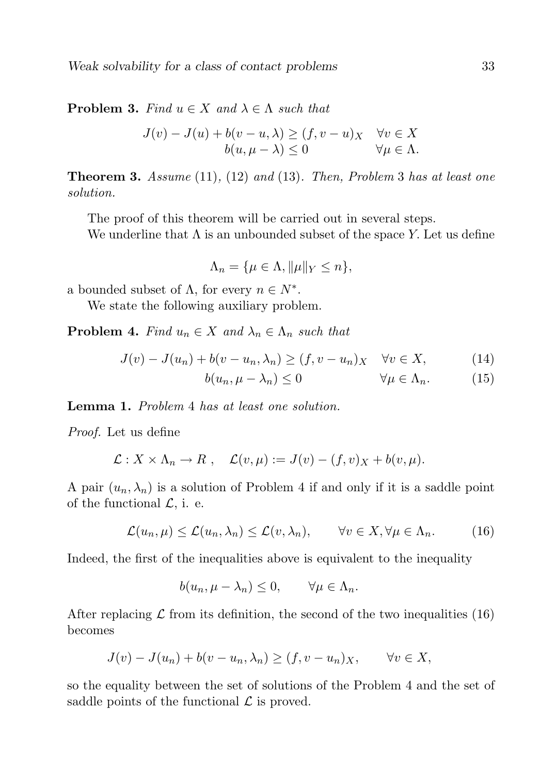**Problem 3.** Find  $u \in X$  and  $\lambda \in \Lambda$  such that

$$
J(v) - J(u) + b(v - u, \lambda) \ge (f, v - u)_X \quad \forall v \in X
$$
  

$$
b(u, \mu - \lambda) \le 0 \qquad \forall \mu \in \Lambda.
$$

**Theorem 3.** Assume  $(11)$ ,  $(12)$  and  $(13)$ . Then, Problem 3 has at least one solution.

The proof of this theorem will be carried out in several steps.

We underline that  $\Lambda$  is an unbounded subset of the space Y. Let us define

$$
\Lambda_n = \{ \mu \in \Lambda, ||\mu||_Y \le n \},\
$$

a bounded subset of  $\Lambda$ , for every  $n \in N^*$ .

We state the following auxiliary problem.

**Problem 4.** Find  $u_n \in X$  and  $\lambda_n \in \Lambda_n$  such that

$$
J(v) - J(u_n) + b(v - u_n, \lambda_n) \ge (f, v - u_n)_X \quad \forall v \in X,
$$
 (14)

$$
b(u_n, \mu - \lambda_n) \le 0 \qquad \forall \mu \in \Lambda_n. \tag{15}
$$

Lemma 1. Problem 4 has at least one solution.

Proof. Let us define

$$
\mathcal{L}: X \times \Lambda_n \to R \;, \quad \mathcal{L}(v,\mu) := J(v) - (f,v)_X + b(v,\mu).
$$

A pair  $(u_n, \lambda_n)$  is a solution of Problem 4 if and only if it is a saddle point of the functional  $\mathcal{L}$ , i. e.

$$
\mathcal{L}(u_n,\mu) \le \mathcal{L}(u_n,\lambda_n) \le \mathcal{L}(v,\lambda_n), \qquad \forall v \in X, \forall \mu \in \Lambda_n.
$$
 (16)

Indeed, the first of the inequalities above is equivalent to the inequality

$$
b(u_n, \mu - \lambda_n) \le 0, \qquad \forall \mu \in \Lambda_n.
$$

After replacing  $\mathcal L$  from its definition, the second of the two inequalities (16) becomes

$$
J(v) - J(u_n) + b(v - u_n, \lambda_n) \ge (f, v - u_n)_X, \quad \forall v \in X,
$$

so the equality between the set of solutions of the Problem 4 and the set of saddle points of the functional  $\mathcal L$  is proved.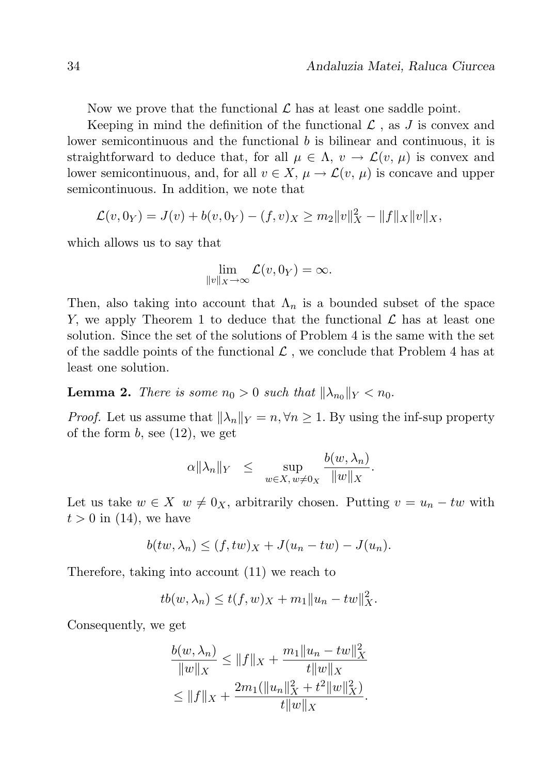Now we prove that the functional  $\mathcal L$  has at least one saddle point.

Keeping in mind the definition of the functional  $\mathcal L$ , as  $J$  is convex and lower semicontinuous and the functional b is bilinear and continuous, it is straightforward to deduce that, for all  $\mu \in \Lambda$ ,  $v \to \mathcal{L}(v, \mu)$  is convex and lower semicontinuous, and, for all  $v \in X$ ,  $\mu \to \mathcal{L}(v, \mu)$  is concave and upper semicontinuous. In addition, we note that

$$
\mathcal{L}(v,0_Y) = J(v) + b(v,0_Y) - (f,v)_X \ge m_2 ||v||_X^2 - ||f||_X ||v||_X,
$$

which allows us to say that

$$
\lim_{\|v\|_X\to\infty}\mathcal{L}(v,0_Y)=\infty.
$$

Then, also taking into account that  $\Lambda_n$  is a bounded subset of the space Y, we apply Theorem 1 to deduce that the functional  $\mathcal L$  has at least one solution. Since the set of the solutions of Problem 4 is the same with the set of the saddle points of the functional  $\mathcal L$ , we conclude that Problem 4 has at least one solution.

**Lemma 2.** There is some  $n_0 > 0$  such that  $\|\lambda_{n_0}\|_Y < n_0$ .

*Proof.* Let us assume that  $\|\lambda_n\|_Y = n, \forall n \geq 1$ . By using the inf-sup property of the form  $b$ , see  $(12)$ , we get

$$
\alpha \|\lambda_n\|_Y \leq \sup_{w \in X, w \neq 0_X} \frac{b(w, \lambda_n)}{\|w\|_X}.
$$

Let us take  $w \in X$   $w \neq 0_X$ , arbitrarily chosen. Putting  $v = u_n - tw$  with  $t > 0$  in (14), we have

$$
b(tw, \lambda_n) \le (f, tw)_X + J(u_n - tw) - J(u_n).
$$

Therefore, taking into account (11) we reach to

$$
tb(w, \lambda_n) \le t(f, w)_X + m_1 ||u_n - tw||_X^2.
$$

Consequently, we get

$$
\frac{b(w, \lambda_n)}{\|w\|_X} \le \|f\|_X + \frac{m_1 \|u_n - tw\|_X^2}{t \|w\|_X}
$$
  
\n
$$
\le \|f\|_X + \frac{2m_1(\|u_n\|_X^2 + t^2 \|w\|_X^2)}{t \|w\|_X}.
$$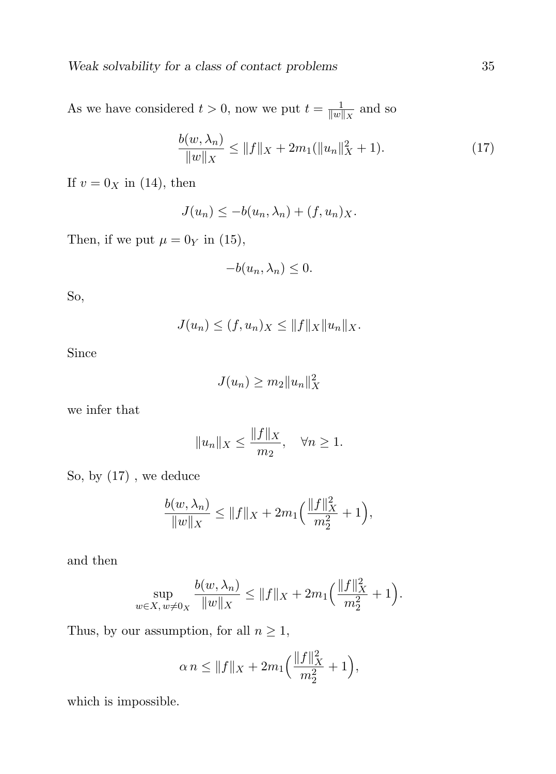As we have considered  $t > 0$ , now we put  $t = \frac{1}{\|w\|}$  $\frac{1}{\|w\|_X}$  and so

$$
\frac{b(w, \lambda_n)}{\|w\|_X} \le \|f\|_X + 2m_1(\|u_n\|_X^2 + 1). \tag{17}
$$

If  $v = 0_X$  in (14), then

 $J(u_n) \leq -b(u_n, \lambda_n) + (f, u_n)_X.$ 

Then, if we put  $\mu = 0$ <sub>Y</sub> in (15),

$$
-b(u_n, \lambda_n) \leq 0.
$$

So,

$$
J(u_n) \le (f, u_n)_X \le ||f||_X ||u_n||_X.
$$

Since

$$
J(u_n) \ge m_2 \|u_n\|_X^2
$$

we infer that

$$
||u_n||_X \le \frac{||f||_X}{m_2}, \quad \forall n \ge 1.
$$

So, by (17) , we deduce

$$
\frac{b(w, \lambda_n)}{\|w\|_X} \le \|f\|_X + 2m_1 \Big(\frac{\|f\|_X^2}{m_2^2} + 1\Big),\,
$$

and then

$$
\sup_{w \in X, w \neq 0_X} \frac{b(w, \lambda_n)}{\|w\|_X} \le \|f\|_X + 2m_1 \Big( \frac{\|f\|_X^2}{m_2^2} + 1 \Big).
$$

Thus, by our assumption, for all  $n\geq 1,$ 

$$
\alpha n \le ||f||_X + 2m_1 \Big( \frac{||f||_X^2}{m_2^2} + 1 \Big),
$$

which is impossible.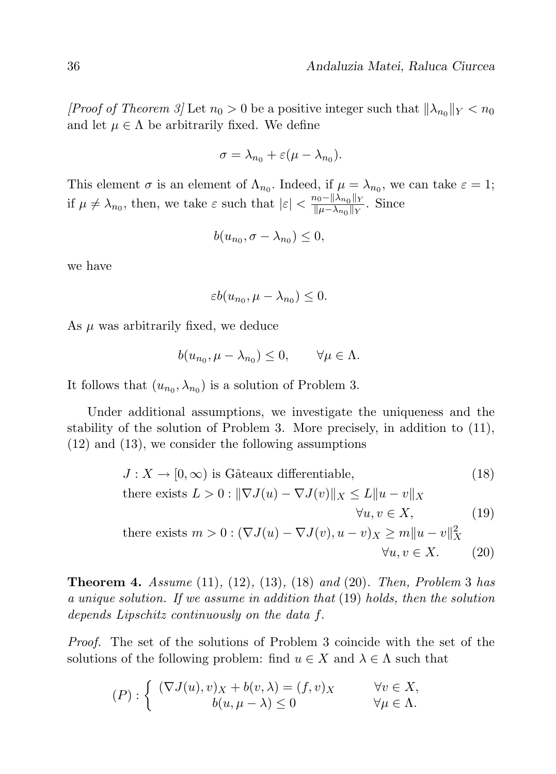*[Proof of Theorem 3]* Let  $n_0 > 0$  be a positive integer such that  $\|\lambda_{n_0}\|_Y < n_0$ and let  $\mu \in \Lambda$  be arbitrarily fixed. We define

$$
\sigma = \lambda_{n_0} + \varepsilon (\mu - \lambda_{n_0}).
$$

This element  $\sigma$  is an element of  $\Lambda_{n_0}$ . Indeed, if  $\mu = \lambda_{n_0}$ , we can take  $\varepsilon = 1$ ; if  $\mu \neq \lambda_{n_0}$ , then, we take  $\varepsilon$  such that  $|\varepsilon| < \frac{n_0 - ||\lambda_{n_0}||_Y}{||\mu - \lambda_{n_0}||_Y}$  $\frac{\mu_0 - ||\lambda_{n_0}||_Y}{||\mu - \lambda_{n_0}||_Y}$ . Since

$$
b(u_{n_0}, \sigma - \lambda_{n_0}) \leq 0,
$$

we have

$$
\varepsilon b(u_{n_0}, \mu - \lambda_{n_0}) \leq 0.
$$

As  $\mu$  was arbitrarily fixed, we deduce

$$
b(u_{n_0}, \mu - \lambda_{n_0}) \le 0, \qquad \forall \mu \in \Lambda.
$$

It follows that  $(u_{n_0}, \lambda_{n_0})$  is a solution of Problem 3.

Under additional assumptions, we investigate the uniqueness and the stability of the solution of Problem 3. More precisely, in addition to (11), (12) and (13), we consider the following assumptions

$$
J: X \to [0, \infty) \text{ is Gâteaux differentiable}, \tag{18}
$$

there exists 
$$
L > 0 : ||\nabla J(u) - \nabla J(v)||_X \le L ||u - v||_X
$$
  
\n
$$
\forall u, v \in X,
$$
\n(19)  
\nthere exists  $m > 0 : (\nabla J(u) - \nabla J(v), u - v)_X \ge m ||u - v||_X^2$   
\n
$$
\forall u, v \in X.
$$
\n(20)

**Theorem 4.** Assume  $(11)$ ,  $(12)$ ,  $(13)$ ,  $(18)$  and  $(20)$ . Then, Problem 3 has a unique solution. If we assume in addition that (19) holds, then the solution depends Lipschitz continuously on the data f.

Proof. The set of the solutions of Problem 3 coincide with the set of the solutions of the following problem: find  $u \in X$  and  $\lambda \in \Lambda$  such that

$$
(P): \begin{cases} (\nabla J(u), v)_X + b(v, \lambda) = (f, v)_X & \forall v \in X, \\ b(u, \mu - \lambda) \le 0 & \forall \mu \in \Lambda. \end{cases}
$$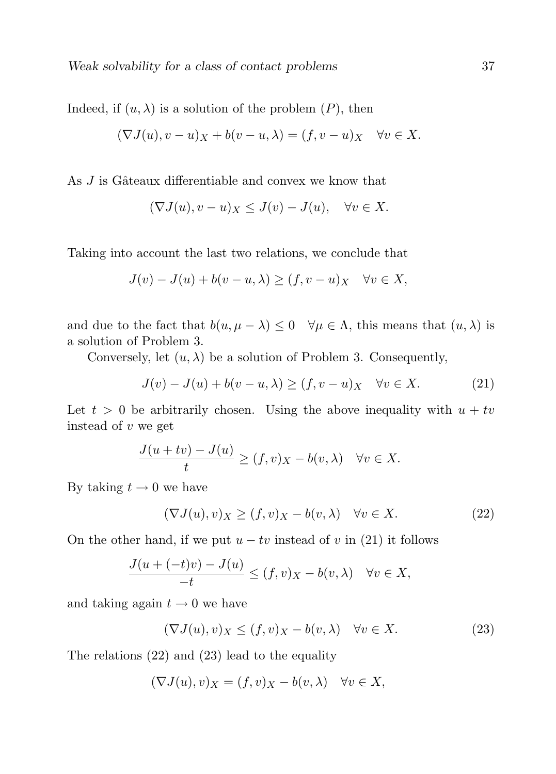Indeed, if  $(u, \lambda)$  is a solution of the problem  $(P)$ , then

$$
(\nabla J(u), v - u)_X + b(v - u, \lambda) = (f, v - u)_X \quad \forall v \in X.
$$

As  $J$  is Gâteaux differentiable and convex we know that

$$
(\nabla J(u), v - u)_X \le J(v) - J(u), \quad \forall v \in X.
$$

Taking into account the last two relations, we conclude that

$$
J(v) - J(u) + b(v - u, \lambda) \ge (f, v - u)_X \quad \forall v \in X,
$$

and due to the fact that  $b(u, \mu - \lambda) \leq 0 \quad \forall \mu \in \Lambda$ , this means that  $(u, \lambda)$  is a solution of Problem 3.

Conversely, let  $(u, \lambda)$  be a solution of Problem 3. Consequently,

$$
J(v) - J(u) + b(v - u, \lambda) \ge (f, v - u)_X \quad \forall v \in X.
$$
 (21)

Let  $t > 0$  be arbitrarily chosen. Using the above inequality with  $u + tv$ instead of v we get

$$
\frac{J(u+tv)-J(u)}{t} \ge (f,v)_X - b(v,\lambda) \quad \forall v \in X.
$$

By taking  $t \to 0$  we have

$$
(\nabla J(u), v)_X \ge (f, v)_X - b(v, \lambda) \quad \forall v \in X.
$$
 (22)

On the other hand, if we put  $u - tv$  instead of v in (21) it follows

$$
\frac{J(u+(-t)v)-J(u)}{-t}\leq (f,v)_X-b(v,\lambda)\quad\forall v\in X,
$$

and taking again  $t \to 0$  we have

$$
(\nabla J(u), v)_X \le (f, v)_X - b(v, \lambda) \quad \forall v \in X.
$$
 (23)

The relations (22) and (23) lead to the equality

$$
(\nabla J(u), v)_X = (f, v)_X - b(v, \lambda) \quad \forall v \in X,
$$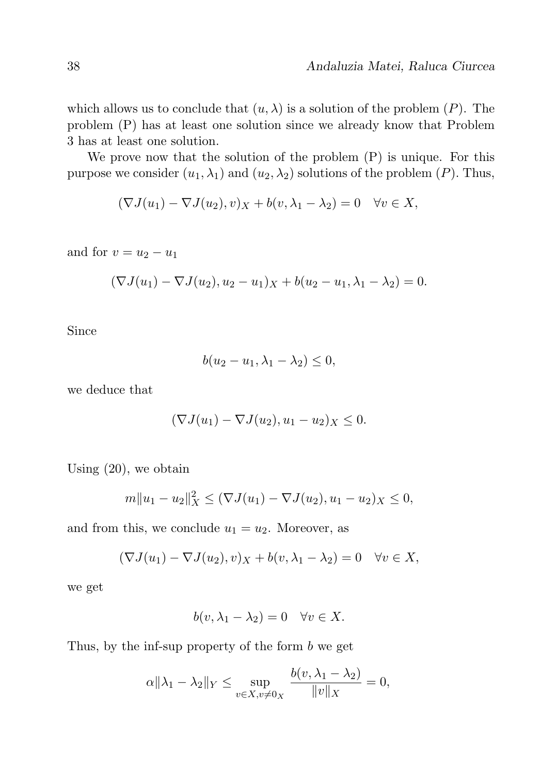which allows us to conclude that  $(u, \lambda)$  is a solution of the problem  $(P)$ . The problem (P) has at least one solution since we already know that Problem 3 has at least one solution.

We prove now that the solution of the problem  $(P)$  is unique. For this purpose we consider  $(u_1, \lambda_1)$  and  $(u_2, \lambda_2)$  solutions of the problem  $(P)$ . Thus,

$$
(\nabla J(u_1) - \nabla J(u_2), v)_X + b(v, \lambda_1 - \lambda_2) = 0 \quad \forall v \in X,
$$

and for  $v = u_2 - u_1$ 

$$
(\nabla J(u_1) - \nabla J(u_2), u_2 - u_1)_X + b(u_2 - u_1, \lambda_1 - \lambda_2) = 0.
$$

Since

$$
b(u_2 - u_1, \lambda_1 - \lambda_2) \le 0,
$$

we deduce that

$$
(\nabla J(u_1) - \nabla J(u_2), u_1 - u_2)_X \leq 0.
$$

Using (20), we obtain

$$
m||u_1 - u_2||_X^2 \leq (\nabla J(u_1) - \nabla J(u_2), u_1 - u_2)_X \leq 0,
$$

and from this, we conclude  $u_1 = u_2$ . Moreover, as

$$
(\nabla J(u_1) - \nabla J(u_2), v)_X + b(v, \lambda_1 - \lambda_2) = 0 \quad \forall v \in X,
$$

we get

$$
b(v, \lambda_1 - \lambda_2) = 0 \quad \forall v \in X.
$$

Thus, by the inf-sup property of the form  $b$  we get

$$
\alpha \|\lambda_1 - \lambda_2\|_Y \le \sup_{v \in X, v \neq 0_X} \frac{b(v, \lambda_1 - \lambda_2)}{\|v\|_X} = 0,
$$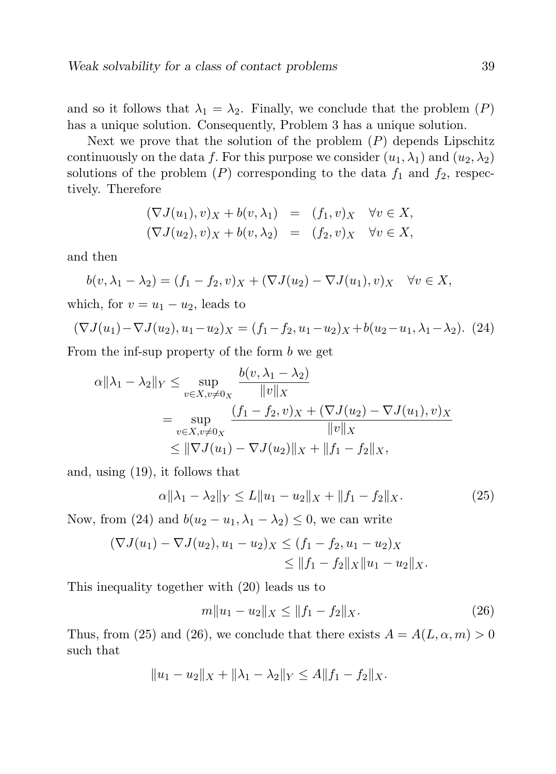and so it follows that  $\lambda_1 = \lambda_2$ . Finally, we conclude that the problem  $(P)$ has a unique solution. Consequently, Problem 3 has a unique solution.

Next we prove that the solution of the problem  $(P)$  depends Lipschitz continuously on the data f. For this purpose we consider  $(u_1, \lambda_1)$  and  $(u_2, \lambda_2)$ solutions of the problem  $(P)$  corresponding to the data  $f_1$  and  $f_2$ , respectively. Therefore

$$
(\nabla J(u_1), v)_X + b(v, \lambda_1) = (f_1, v)_X \quad \forall v \in X,
$$
  

$$
(\nabla J(u_2), v)_X + b(v, \lambda_2) = (f_2, v)_X \quad \forall v \in X,
$$

and then

$$
b(v, \lambda_1 - \lambda_2) = (f_1 - f_2, v)_X + (\nabla J(u_2) - \nabla J(u_1), v)_X \quad \forall v \in X,
$$

which, for  $v = u_1 - u_2$ , leads to

$$
(\nabla J(u_1) - \nabla J(u_2), u_1 - u_2)_X = (f_1 - f_2, u_1 - u_2)_X + b(u_2 - u_1, \lambda_1 - \lambda_2). \tag{24}
$$

From the inf-sup property of the form b we get

$$
\alpha \|\lambda_1 - \lambda_2\|_Y \le \sup_{v \in X, v \neq 0_X} \frac{b(v, \lambda_1 - \lambda_2)}{\|v\|_X}
$$
  
= 
$$
\sup_{v \in X, v \neq 0_X} \frac{(f_1 - f_2, v)_X + (\nabla J(u_2) - \nabla J(u_1), v)_X}{\|v\|_X}
$$
  

$$
\le \|\nabla J(u_1) - \nabla J(u_2)\|_X + \|f_1 - f_2\|_X,
$$

and, using (19), it follows that

$$
\alpha \|\lambda_1 - \lambda_2\|_Y \le L \|u_1 - u_2\|_X + \|f_1 - f_2\|_X. \tag{25}
$$

Now, from (24) and  $b(u_2 - u_1, \lambda_1 - \lambda_2) \leq 0$ , we can write

$$
(\nabla J(u_1) - \nabla J(u_2), u_1 - u_2) \times \leq (f_1 - f_2, u_1 - u_2) \times
$$
  
\$\leq \|f\_1 - f\_2\|\_{X} \|u\_1 - u\_2\|\_{X}\$.

This inequality together with (20) leads us to

$$
m||u_1 - u_2||_X \le ||f_1 - f_2||_X. \tag{26}
$$

Thus, from (25) and (26), we conclude that there exists  $A = A(L, \alpha, m) > 0$ such that

$$
||u_1 - u_2||_X + ||\lambda_1 - \lambda_2||_Y \le A||f_1 - f_2||_X.
$$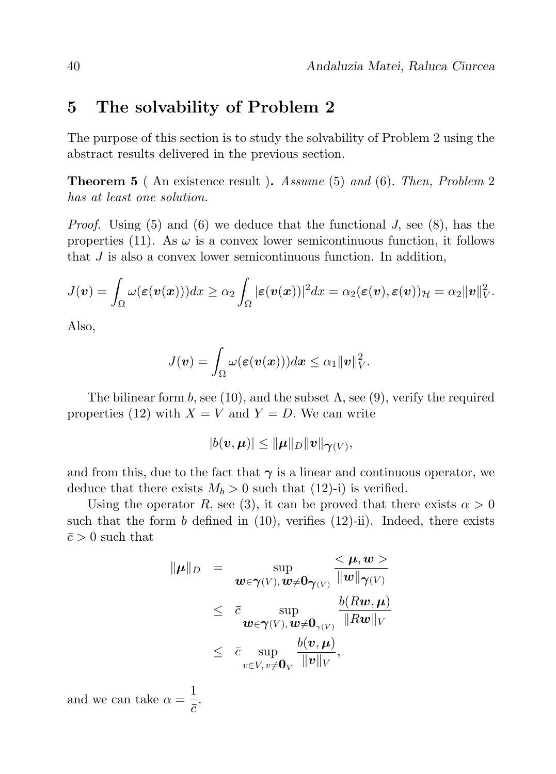### 5 The solvability of Problem 2

The purpose of this section is to study the solvability of Problem 2 using the abstract results delivered in the previous section.

Theorem 5 ( An existence result ). Assume (5) and (6). Then, Problem 2 has at least one solution.

*Proof.* Using (5) and (6) we deduce that the functional J, see (8), has the properties (11). As  $\omega$  is a convex lower semicontinuous function, it follows that J is also a convex lower semicontinuous function. In addition,

$$
J(\boldsymbol{v})=\int_{\Omega}\omega(\boldsymbol{\varepsilon}(\boldsymbol{v}(\boldsymbol{x})))dx\geq\alpha_2\int_{\Omega}|\boldsymbol{\varepsilon}(\boldsymbol{v}(\boldsymbol{x}))|^2dx=\alpha_2(\boldsymbol{\varepsilon}(\boldsymbol{v}),\boldsymbol{\varepsilon}(\boldsymbol{v}))\mathcal{H}=\alpha_2\|\boldsymbol{v}\|_V^2.
$$

Also,

$$
J(\boldsymbol{v})=\int_{\Omega}\omega(\boldsymbol{\varepsilon}(\boldsymbol{v}(\boldsymbol{x})))d\boldsymbol{x}\leq\alpha_{1}\|\boldsymbol{v}\|_{V}^{2}.
$$

The bilinear form b, see (10), and the subset  $\Lambda$ , see (9), verify the required properties (12) with  $X = V$  and  $Y = D$ . We can write

$$
|b(\boldsymbol{v},\boldsymbol{\mu})|\leq \|\boldsymbol{\mu}\|_D\|\boldsymbol{v}\|_{\boldsymbol{\gamma}(V)},
$$

and from this, due to the fact that  $\gamma$  is a linear and continuous operator, we deduce that there exists  $M_b > 0$  such that (12)-i) is verified.

Using the operator R, see (3), it can be proved that there exists  $\alpha > 0$ such that the form b defined in  $(10)$ , verifies  $(12)$ -ii). Indeed, there exists  $\bar{c} > 0$  such that

$$
\|\mu\|_{D} = \sup_{\boldsymbol{w} \in \boldsymbol{\gamma}(V), \boldsymbol{w} \neq \boldsymbol{0}_{\boldsymbol{\gamma}(V)}} \frac{<\mu, \boldsymbol{w}>}{\|\boldsymbol{w}\|_{\boldsymbol{\gamma}(V)}} \leq \frac{\bar{c}}{\omega \varepsilon} \sup_{\boldsymbol{w} \in \boldsymbol{\gamma}(V), \boldsymbol{w} \neq \boldsymbol{0}_{\boldsymbol{\gamma}(V)}} \frac{b(R\boldsymbol{w}, \boldsymbol{\mu})}{\|R\boldsymbol{w}\|_{V}} \leq \frac{\bar{c}}{\omega \varepsilon} \sup_{v \in V, v \neq \boldsymbol{0}_{V}} \frac{b(v, \boldsymbol{\mu})}{\|\boldsymbol{v}\|_{V}},
$$

and we can take  $\alpha = \frac{1}{1}$  $\frac{1}{\bar{c}}$ .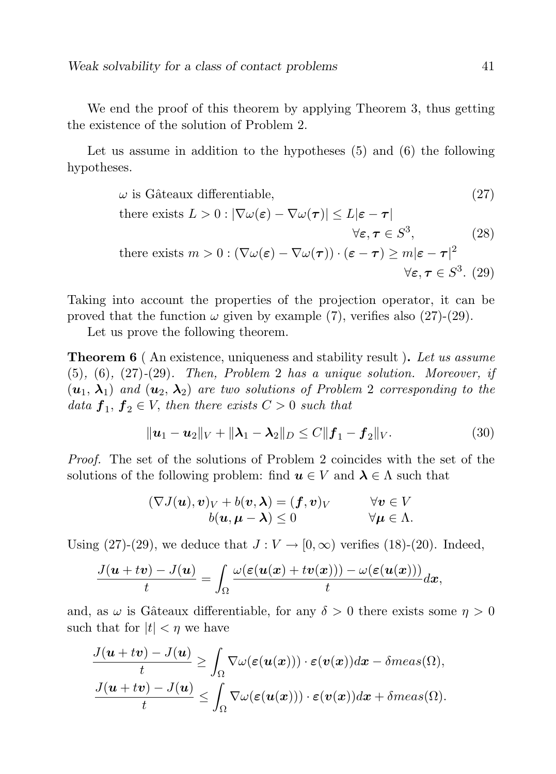We end the proof of this theorem by applying Theorem 3, thus getting the existence of the solution of Problem 2.

Let us assume in addition to the hypotheses (5) and (6) the following hypotheses.

$$
\omega \text{ is Gâteaux differentiable,}
$$
\n
$$
\omega \text{ the rest of } L > 0: |\nabla \omega(\varepsilon) - \nabla \omega(\tau)| \le L|\varepsilon - \tau|
$$
\n
$$
\forall \varepsilon, \tau \in S^3,
$$
\n
$$
\text{there exists } m > 0: (\nabla \omega(\varepsilon) - \nabla \omega(\tau)) \cdot (\varepsilon - \tau) \ge m|\varepsilon - \tau|^2
$$
\n
$$
\forall \varepsilon, \tau \in S^3. \quad (29)
$$

Taking into account the properties of the projection operator, it can be proved that the function  $\omega$  given by example (7), verifies also (27)-(29).

Let us prove the following theorem.

**Theorem 6** (An existence, uniqueness and stability result). Let us assume  $(5)$ ,  $(6)$ ,  $(27)-(29)$ . Then, Problem 2 has a unique solution. Moreover, if  $(u_1, \lambda_1)$  and  $(u_2, \lambda_2)$  are two solutions of Problem 2 corresponding to the data  $f_1, f_2 \in V$ , then there exists  $C > 0$  such that

$$
\|\mathbf{u}_1 - \mathbf{u}_2\|_V + \|\boldsymbol{\lambda}_1 - \boldsymbol{\lambda}_2\|_D \le C \|\mathbf{f}_1 - \mathbf{f}_2\|_V. \tag{30}
$$

Proof. The set of the solutions of Problem 2 coincides with the set of the solutions of the following problem: find  $u \in V$  and  $\lambda \in \Lambda$  such that

$$
(\nabla J(\boldsymbol{u}), \boldsymbol{v})_V + b(\boldsymbol{v}, \boldsymbol{\lambda}) = (\boldsymbol{f}, \boldsymbol{v})_V \qquad \forall \boldsymbol{v} \in V b(\boldsymbol{u}, \boldsymbol{\mu} - \boldsymbol{\lambda}) \leq 0 \qquad \forall \boldsymbol{\mu} \in \Lambda.
$$

Using (27)-(29), we deduce that  $J: V \to [0, \infty)$  verifies (18)-(20). Indeed,

$$
\frac{J(u+tv)-J(u)}{t}=\int_{\Omega}\frac{\omega(\varepsilon(u(x)+tv(x)))-\omega(\varepsilon(u(x)))}{t}dx,
$$

and, as  $\omega$  is Gâteaux differentiable, for any  $\delta > 0$  there exists some  $\eta > 0$ such that for  $|t| < \eta$  we have

$$
\frac{J(u+tv)-J(u)}{t} \geq \int_{\Omega} \nabla \omega(\varepsilon(u(x))) \cdot \varepsilon(v(x)) dx - \delta meas(\Omega),
$$
  

$$
\frac{J(u+tv)-J(u)}{t} \leq \int_{\Omega} \nabla \omega(\varepsilon(u(x))) \cdot \varepsilon(v(x)) dx + \delta meas(\Omega).
$$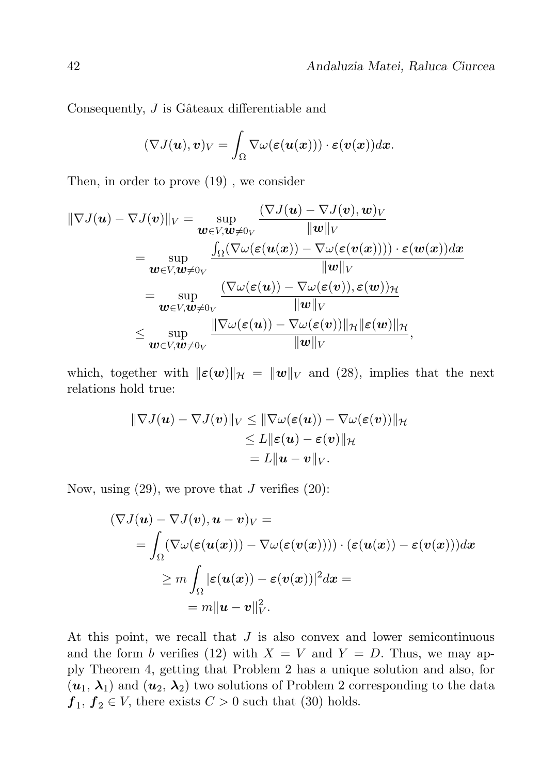Consequently,  $J$  is Gâteaux differentiable and

$$
(\nabla J(\boldsymbol{u}),\boldsymbol{v})_V=\int_{\Omega}\nabla\omega(\boldsymbol{\varepsilon}(\boldsymbol{u}(\boldsymbol{x})))\cdot\boldsymbol{\varepsilon}(\boldsymbol{v}(\boldsymbol{x}))d\boldsymbol{x}.
$$

Then, in order to prove (19) , we consider

$$
\|\nabla J(\boldsymbol{u}) - \nabla J(\boldsymbol{v})\|_{V} = \sup_{\boldsymbol{w} \in V, \boldsymbol{w} \neq 0_{V}} \frac{(\nabla J(\boldsymbol{u}) - \nabla J(\boldsymbol{v}), \boldsymbol{w})_{V}}{\|\boldsymbol{w}\|_{V}}
$$
  
\n
$$
= \sup_{\boldsymbol{w} \in V, \boldsymbol{w} \neq 0_{V}} \frac{\int_{\Omega} (\nabla \omega(\boldsymbol{\varepsilon}(\boldsymbol{u}(\boldsymbol{x})) - \nabla \omega(\boldsymbol{\varepsilon}(\boldsymbol{v}(\boldsymbol{x})))) \cdot \boldsymbol{\varepsilon}(\boldsymbol{w}(\boldsymbol{x})) d\boldsymbol{x}}{\|\boldsymbol{w}\|_{V}}
$$
  
\n
$$
= \sup_{\boldsymbol{w} \in V, \boldsymbol{w} \neq 0_{V}} \frac{(\nabla \omega(\boldsymbol{\varepsilon}(\boldsymbol{u})) - \nabla \omega(\boldsymbol{\varepsilon}(\boldsymbol{v})), \boldsymbol{\varepsilon}(\boldsymbol{w}))_{\mathcal{H}}}{\|\boldsymbol{w}\|_{V}}
$$
  
\n
$$
\leq \sup_{\boldsymbol{w} \in V, \boldsymbol{w} \neq 0_{V}} \frac{\|\nabla \omega(\boldsymbol{\varepsilon}(\boldsymbol{u})) - \nabla \omega(\boldsymbol{\varepsilon}(\boldsymbol{v}))\|_{\mathcal{H}} \|\boldsymbol{\varepsilon}(\boldsymbol{w})\|_{\mathcal{H}}}{\|\boldsymbol{w}\|_{V}},
$$

which, together with  $\|\boldsymbol{\varepsilon}(\boldsymbol{w})\|_{\mathcal{H}} = \|\boldsymbol{w}\|_{V}$  and (28), implies that the next relations hold true:

$$
\|\nabla J(\boldsymbol{u}) - \nabla J(\boldsymbol{v})\|_{V} \leq \|\nabla \omega(\boldsymbol{\varepsilon}(\boldsymbol{u})) - \nabla \omega(\boldsymbol{\varepsilon}(\boldsymbol{v}))\|_{\mathcal{H}} \leq L \|\boldsymbol{\varepsilon}(\boldsymbol{u}) - \boldsymbol{\varepsilon}(\boldsymbol{v})\|_{\mathcal{H}} = L \|\boldsymbol{u} - \boldsymbol{v}\|_{V}.
$$

Now, using  $(29)$ , we prove that J verifies  $(20)$ :

$$
(\nabla J(\boldsymbol{u}) - \nabla J(\boldsymbol{v}), \boldsymbol{u} - \boldsymbol{v})_V =
$$
  
= 
$$
\int_{\Omega} (\nabla \omega (\varepsilon (\boldsymbol{u}(\boldsymbol{x}))) - \nabla \omega (\varepsilon (\boldsymbol{v}(\boldsymbol{x})))) \cdot (\varepsilon (\boldsymbol{u}(\boldsymbol{x})) - \varepsilon (\boldsymbol{v}(\boldsymbol{x}))) d\boldsymbol{x}
$$
  

$$
\geq m \int_{\Omega} |\varepsilon (\boldsymbol{u}(\boldsymbol{x})) - \varepsilon (\boldsymbol{v}(\boldsymbol{x}))|^2 d\boldsymbol{x} =
$$
  
= 
$$
m \|\boldsymbol{u} - \boldsymbol{v}\|_V^2.
$$

At this point, we recall that J is also convex and lower semicontinuous and the form b verifies (12) with  $X = V$  and  $Y = D$ . Thus, we may apply Theorem 4, getting that Problem 2 has a unique solution and also, for  $(u_1, \lambda_1)$  and  $(u_2, \lambda_2)$  two solutions of Problem 2 corresponding to the data  $f_1, f_2 \in V$ , there exists  $C > 0$  such that (30) holds.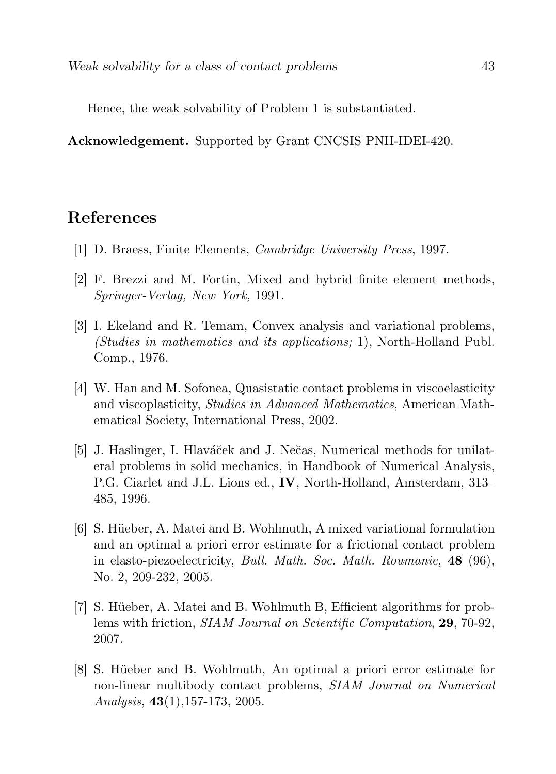Hence, the weak solvability of Problem 1 is substantiated.

Acknowledgement. Supported by Grant CNCSIS PNII-IDEI-420.

# References

- [1] D. Braess, Finite Elements, Cambridge University Press, 1997.
- [2] F. Brezzi and M. Fortin, Mixed and hybrid finite element methods, Springer-Verlag, New York, 1991.
- [3] I. Ekeland and R. Temam, Convex analysis and variational problems, (Studies in mathematics and its applications; 1), North-Holland Publ. Comp., 1976.
- [4] W. Han and M. Sofonea, Quasistatic contact problems in viscoelasticity and viscoplasticity, Studies in Advanced Mathematics, American Mathematical Society, International Press, 2002.
- [5] J. Haslinger, I. Hlaváček and J. Nečas, Numerical methods for unilateral problems in solid mechanics, in Handbook of Numerical Analysis, P.G. Ciarlet and J.L. Lions ed., IV, North-Holland, Amsterdam, 313– 485, 1996.
- [6] S. Hüeber, A. Matei and B. Wohlmuth, A mixed variational formulation and an optimal a priori error estimate for a frictional contact problem in elasto-piezoelectricity, *Bull. Math. Soc. Math. Roumanie*, **48** (96), No. 2, 209-232, 2005.
- [7] S. Hüeber, A. Matei and B. Wohlmuth B, Efficient algorithms for problems with friction, SIAM Journal on Scientific Computation, 29, 70-92, 2007.
- [8] S. Hüeber and B. Wohlmuth, An optimal a priori error estimate for non-linear multibody contact problems, SIAM Journal on Numerical Analysis,  $43(1)$ , 157-173, 2005.